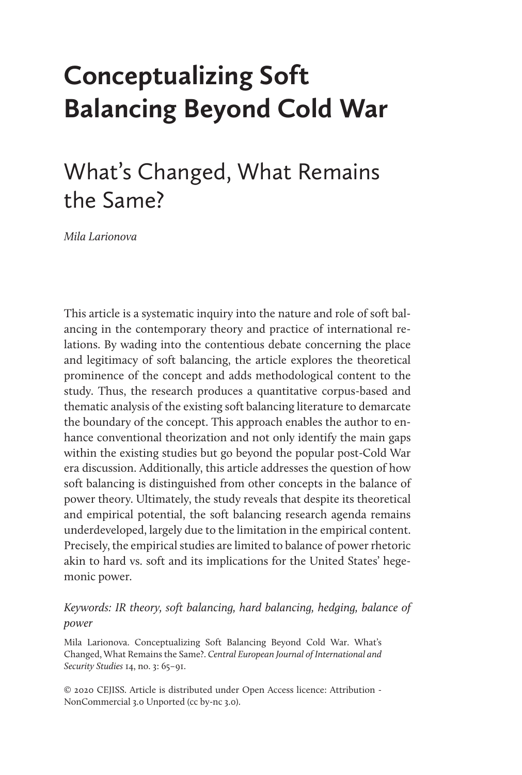# **Conceptualizing Soft Balancing Beyond Cold War**

# What's Changed, What Remains the Same?

*Mila Larionova*

This article is a systematic inquiry into the nature and role of soft balancing in the contemporary theory and practice of international relations. By wading into the contentious debate concerning the place and legitimacy of soft balancing, the article explores the theoretical prominence of the concept and adds methodological content to the study. Thus, the research produces a quantitative corpus-based and thematic analysis of the existing soft balancing literature to demarcate the boundary of the concept. This approach enables the author to enhance conventional theorization and not only identify the main gaps within the existing studies but go beyond the popular post-Cold War era discussion. Additionally, this article addresses the question of how soft balancing is distinguished from other concepts in the balance of power theory. Ultimately, the study reveals that despite its theoretical and empirical potential, the soft balancing research agenda remains underdeveloped, largely due to the limitation in the empirical content. Precisely, the empirical studies are limited to balance of power rhetoric akin to hard vs. soft and its implications for the United States' hegemonic power.

#### *Keywords: IR theory, soft balancing, hard balancing, hedging, balance of power*

Mila Larionova. Conceptualizing Soft Balancing Beyond Cold War. What's Changed, What Remains the Same?. *Central European Journal of International and Security Studies* 14, no. 3: 65–91.

© 2020 CEJISS. Article is distributed under Open Access licence: Attribution - NonCommercial 3.0 Unported (cc by-nc 3.0).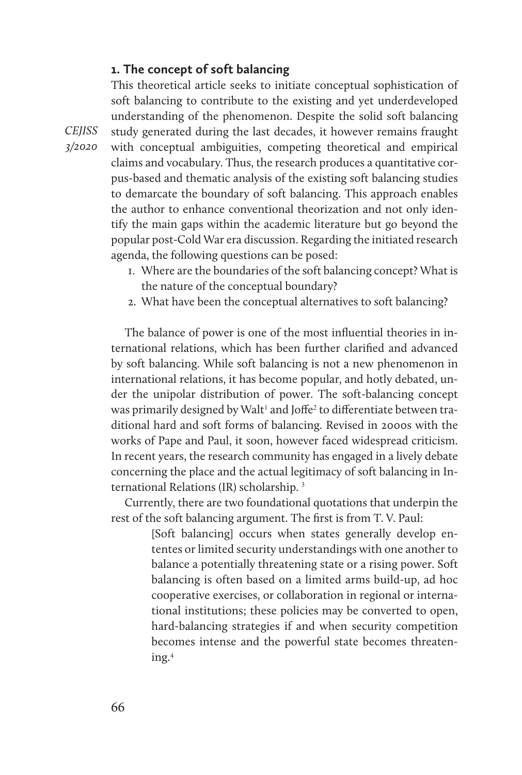#### **1. The concept of soft balancing**

This theoretical article seeks to initiate conceptual sophistication of soft balancing to contribute to the existing and yet underdeveloped understanding of the phenomenon. Despite the solid soft balancing study generated during the last decades, it however remains fraught with conceptual ambiguities, competing theoretical and empirical claims and vocabulary. Thus, the research produces a quantitative corpus-based and thematic analysis of the existing soft balancing studies to demarcate the boundary of soft balancing. This approach enables the author to enhance conventional theorization and not only identify the main gaps within the academic literature but go beyond the popular post-Cold War era discussion. Regarding the initiated research agenda, the following questions can be posed:

- 1. Where are the boundaries of the soft balancing concept? What is the nature of the conceptual boundary?
- 2. What have been the conceptual alternatives to soft balancing?

The balance of power is one of the most influential theories in international relations, which has been further clarified and advanced by soft balancing. While soft balancing is not a new phenomenon in international relations, it has become popular, and hotly debated, under the unipolar distribution of power. The soft-balancing concept was primarily designed by Walt<sup>1</sup> and Joffe<sup>2</sup> to differentiate between traditional hard and soft forms of balancing. Revised in 2000s with the works of Pape and Paul, it soon, however faced widespread criticism. In recent years, the research community has engaged in a lively debate concerning the place and the actual legitimacy of soft balancing in International Relations (IR) scholarship. <sup>3</sup>

Currently, there are two foundational quotations that underpin the rest of the soft balancing argument. The first is from T. V. Paul:

> [Soft balancing] occurs when states generally develop ententes or limited security understandings with one another to balance a potentially threatening state or a rising power. Soft balancing is often based on a limited arms build-up, ad hoc cooperative exercises, or collaboration in regional or international institutions; these policies may be converted to open, hard-balancing strategies if and when security competition becomes intense and the powerful state becomes threatening.4

*CEJISS 3/2020*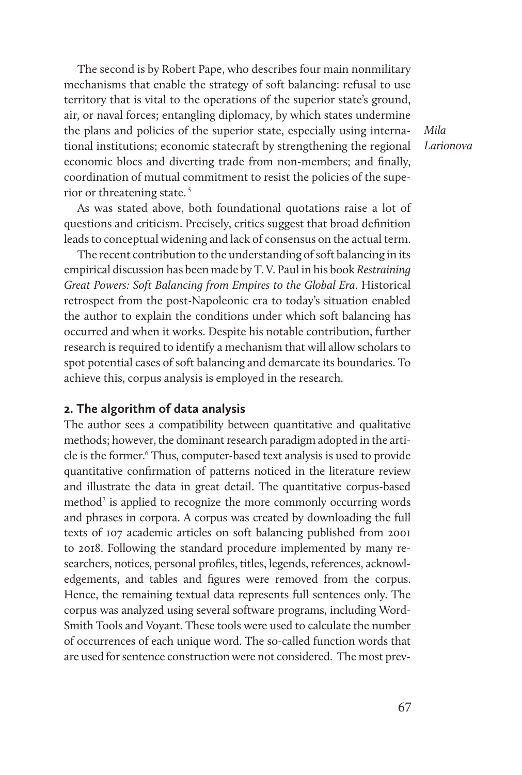The second is by Robert Pape, who describes four main nonmilitary mechanisms that enable the strategy of soft balancing: refusal to use territory that is vital to the operations of the superior state's ground, air, or naval forces; entangling diplomacy, by which states undermine the plans and policies of the superior state, especially using international institutions; economic statecraft by strengthening the regional economic blocs and diverting trade from non-members; and finally, coordination of mutual commitment to resist the policies of the superior or threatening state.<sup>5</sup>

*Mila Larionova*

As was stated above, both foundational quotations raise a lot of questions and criticism. Precisely, critics suggest that broad definition leads to conceptual widening and lack of consensus on the actual term.

The recent contribution to the understanding of soft balancing in its empirical discussion has been made by T. V. Paul in his book *Restraining Great Powers: Soft Balancing from Empires to the Global Era*. Historical retrospect from the post-Napoleonic era to today's situation enabled the author to explain the conditions under which soft balancing has occurred and when it works. Despite his notable contribution, further research is required to identify a mechanism that will allow scholars to spot potential cases of soft balancing and demarcate its boundaries. To achieve this, corpus analysis is employed in the research.

#### **2. The algorithm of data analysis**

The author sees a compatibility between quantitative and qualitative methods; however, the dominant research paradigm adopted in the article is the former.<sup>6</sup> Thus, computer-based text analysis is used to provide quantitative confirmation of patterns noticed in the literature review and illustrate the data in great detail. The quantitative corpus-based method<sup>7</sup> is applied to recognize the more commonly occurring words and phrases in corpora. A corpus was created by downloading the full texts of 107 academic articles on soft balancing published from 2001 to 2018. Following the standard procedure implemented by many researchers, notices, personal profiles, titles, legends, references, acknowledgements, and tables and figures were removed from the corpus. Hence, the remaining textual data represents full sentences only. The corpus was analyzed using several software programs, including Word-Smith Tools and Voyant. These tools were used to calculate the number of occurrences of each unique word. The so-called function words that are used for sentence construction were not considered. The most prev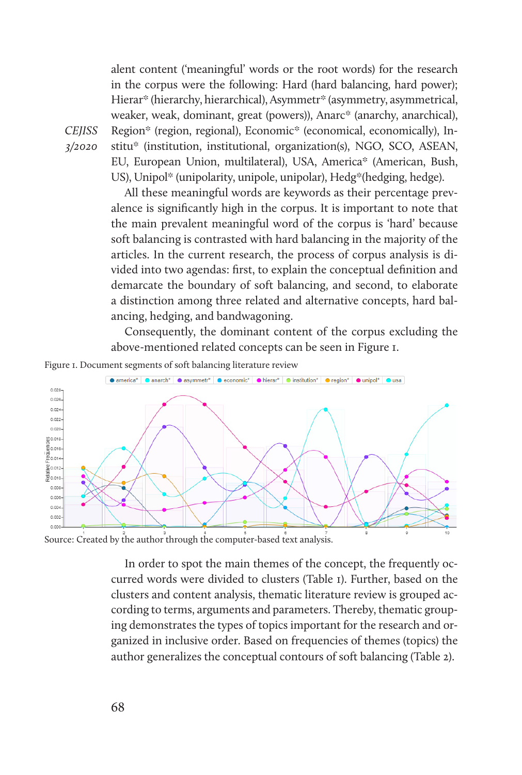alent content ('meaningful' words or the root words) for the research in the corpus were the following: Hard (hard balancing, hard power); Hierar\* (hierarchy, hierarchical), Asymmetr\* (asymmetry, asymmetrical, weaker, weak, dominant, great (powers)), Anarc\* (anarchy, anarchical), Region\* (region, regional), Economic\* (economical, economically), Institu\* (institution, institutional, organization(s), NGO, SCO, ASEAN, EU, European Union, multilateral), USA, America\* (American, Bush, US), Unipol<sup>\*</sup> (unipolarity, unipole, unipolar), Hedg<sup>\*</sup>(hedging, hedge).

All these meaningful words are keywords as their percentage prevalence is significantly high in the corpus. It is important to note that the main prevalent meaningful word of the corpus is 'hard' because soft balancing is contrasted with hard balancing in the majority of the articles. In the current research, the process of corpus analysis is divided into two agendas: first, to explain the conceptual definition and demarcate the boundary of soft balancing, and second, to elaborate a distinction among three related and alternative concepts, hard balancing, hedging, and bandwagoning.

Consequently, the dominant content of the corpus excluding the above-mentioned related concepts can be seen in Figure 1.



*CEJISS 3/2020* 



Source: Created by the author through the computer-based text analysis.

In order to spot the main themes of the concept, the frequently occurred words were divided to clusters (Table 1). Further, based on the clusters and content analysis, thematic literature review is grouped according to terms, arguments and parameters. Thereby, thematic grouping demonstrates the types of topics important for the research and organized in inclusive order. Based on frequencies of themes (topics) the author generalizes the conceptual contours of soft balancing (Table 2).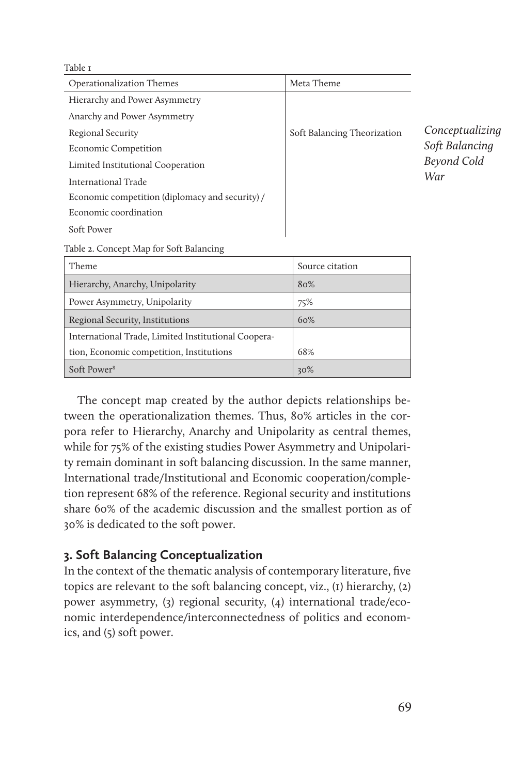Table 1

| Operationalization Themes                       | Meta Theme                  |                    |
|-------------------------------------------------|-----------------------------|--------------------|
| Hierarchy and Power Asymmetry                   |                             |                    |
| Anarchy and Power Asymmetry                     |                             |                    |
| Regional Security                               | Soft Balancing Theorization | Conceptualizing    |
| <b>Economic Competition</b>                     |                             | Soft Balancing     |
| Limited Institutional Cooperation               |                             | <b>Beyond Cold</b> |
| International Trade                             |                             | War                |
| Economic competition (diplomacy and security) / |                             |                    |
| Economic coordination                           |                             |                    |
| Soft Power                                      |                             |                    |
| Table 2. Concept Map for Soft Balancing         |                             |                    |
| Theme                                           | Source citation             |                    |
| Hierarchy, Anarchy, Unipolarity                 | 80%                         |                    |
| Power Asymmetry, Unipolarity                    | 75%                         |                    |

The concept map created by the author depicts relationships between the operationalization themes. Thus, 80% articles in the corpora refer to Hierarchy, Anarchy and Unipolarity as central themes, while for 75% of the existing studies Power Asymmetry and Unipolarity remain dominant in soft balancing discussion. In the same manner, International trade/Institutional and Economic cooperation/completion represent 68% of the reference. Regional security and institutions share 60% of the academic discussion and the smallest portion as of 30% is dedicated to the soft power.

#### **3. Soft Balancing Conceptualization**

Regional Security, Institutions 60%

tion, Economic competition, Institutions 68%  $S$ oft Power<sup>8</sup>  $|30\%$ 

International Trade, Limited Institutional Coopera-

In the context of the thematic analysis of contemporary literature, five topics are relevant to the soft balancing concept, viz., (1) hierarchy, (2) power asymmetry, (3) regional security, (4) international trade/economic interdependence/interconnectedness of politics and economics, and (5) soft power.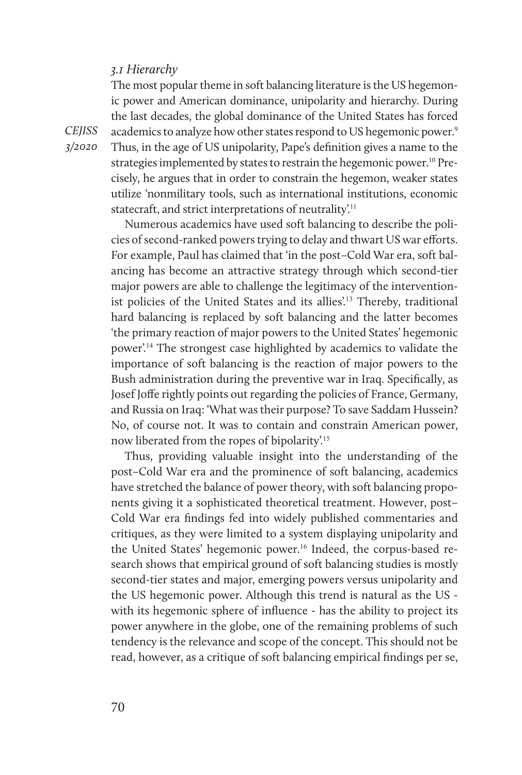#### *3.1 Hierarchy*

The most popular theme in soft balancing literature is the US hegemonic power and American dominance, unipolarity and hierarchy. During the last decades, the global dominance of the United States has forced academics to analyze how other states respond to US hegemonic power.<sup>9</sup> Thus, in the age of US unipolarity, Pape's definition gives a name to the strategies implemented by states to restrain the hegemonic power.<sup>10</sup> Precisely, he argues that in order to constrain the hegemon, weaker states utilize 'nonmilitary tools, such as international institutions, economic statecraft, and strict interpretations of neutrality.<sup>11</sup>

Numerous academics have used soft balancing to describe the policies of second-ranked powers trying to delay and thwart US war efforts. For example, Paul has claimed that 'in the post–Cold War era, soft balancing has become an attractive strategy through which second-tier major powers are able to challenge the legitimacy of the interventionist policies of the United States and its allies'.13 Thereby, traditional hard balancing is replaced by soft balancing and the latter becomes 'the primary reaction of major powers to the United States' hegemonic power'.14 The strongest case highlighted by academics to validate the importance of soft balancing is the reaction of major powers to the Bush administration during the preventive war in Iraq. Specifically, as Josef Joffe rightly points out regarding the policies of France, Germany, and Russia on Iraq: 'What was their purpose? To save Saddam Hussein? No, of course not. It was to contain and constrain American power, now liberated from the ropes of bipolarity'.<sup>15</sup>

Thus, providing valuable insight into the understanding of the post–Cold War era and the prominence of soft balancing, academics have stretched the balance of power theory, with soft balancing proponents giving it a sophisticated theoretical treatment. However, post– Cold War era findings fed into widely published commentaries and critiques, as they were limited to a system displaying unipolarity and the United States' hegemonic power.16 Indeed, the corpus-based research shows that empirical ground of soft balancing studies is mostly second-tier states and major, emerging powers versus unipolarity and the US hegemonic power. Although this trend is natural as the US with its hegemonic sphere of influence - has the ability to project its power anywhere in the globe, one of the remaining problems of such tendency is the relevance and scope of the concept. This should not be read, however, as a critique of soft balancing empirical findings per se,

*CEJISS 3/2020*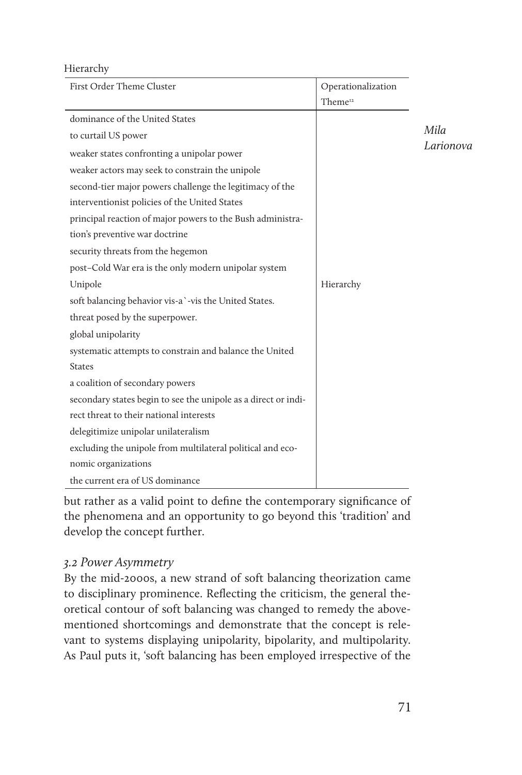#### Hierarchy

| First Order Theme Cluster                                      | Operationalization  |                   |
|----------------------------------------------------------------|---------------------|-------------------|
|                                                                | Theme <sup>12</sup> |                   |
| dominance of the United States                                 |                     |                   |
| to curtail US power                                            |                     | Mila<br>Larionova |
| weaker states confronting a unipolar power                     |                     |                   |
| weaker actors may seek to constrain the unipole                |                     |                   |
| second-tier major powers challenge the legitimacy of the       |                     |                   |
| interventionist policies of the United States                  |                     |                   |
| principal reaction of major powers to the Bush administra-     |                     |                   |
| tion's preventive war doctrine                                 |                     |                   |
| security threats from the hegemon                              |                     |                   |
| post-Cold War era is the only modern unipolar system           |                     |                   |
| Unipole                                                        | Hierarchy           |                   |
| soft balancing behavior vis-a `-vis the United States.         |                     |                   |
| threat posed by the superpower.                                |                     |                   |
| global unipolarity                                             |                     |                   |
| systematic attempts to constrain and balance the United        |                     |                   |
| <b>States</b>                                                  |                     |                   |
| a coalition of secondary powers                                |                     |                   |
| secondary states begin to see the unipole as a direct or indi- |                     |                   |
| rect threat to their national interests                        |                     |                   |
| delegitimize unipolar unilateralism                            |                     |                   |
| excluding the unipole from multilateral political and eco-     |                     |                   |
| nomic organizations                                            |                     |                   |
| the current era of US dominance                                |                     |                   |

but rather as a valid point to define the contemporary significance of the phenomena and an opportunity to go beyond this 'tradition' and develop the concept further.

## *3.2 Power Asymmetry*

By the mid-2000s, a new strand of soft balancing theorization came to disciplinary prominence. Reflecting the criticism, the general theoretical contour of soft balancing was changed to remedy the abovementioned shortcomings and demonstrate that the concept is relevant to systems displaying unipolarity, bipolarity, and multipolarity. As Paul puts it, 'soft balancing has been employed irrespective of the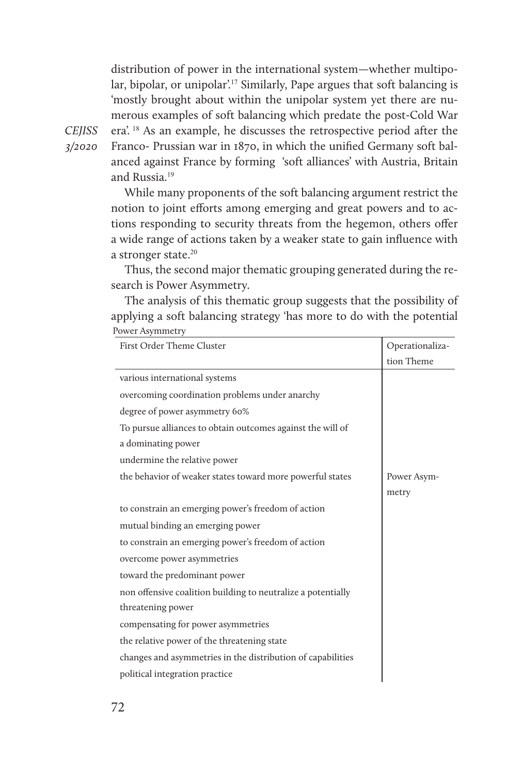distribution of power in the international system—whether multipolar, bipolar, or unipolar'.<sup>17</sup> Similarly, Pape argues that soft balancing is 'mostly brought about within the unipolar system yet there are numerous examples of soft balancing which predate the post-Cold War era'. 18 As an example, he discusses the retrospective period after the Franco- Prussian war in 1870, in which the unified Germany soft balanced against France by forming 'soft alliances' with Austria, Britain and Russia.<sup>19</sup>

While many proponents of the soft balancing argument restrict the notion to joint efforts among emerging and great powers and to actions responding to security threats from the hegemon, others offer a wide range of actions taken by a weaker state to gain influence with a stronger state. $20$ 

Thus, the second major thematic grouping generated during the research is Power Asymmetry.

The analysis of this thematic group suggests that the possibility of applying a soft balancing strategy 'has more to do with the potential Power Asymmetry

| First Order Theme Cluster                                    | Operationaliza- |
|--------------------------------------------------------------|-----------------|
|                                                              | tion Theme      |
| various international systems                                |                 |
| overcoming coordination problems under anarchy               |                 |
| degree of power asymmetry 60%                                |                 |
| To pursue alliances to obtain outcomes against the will of   |                 |
| a dominating power                                           |                 |
| undermine the relative power                                 |                 |
| the behavior of weaker states toward more powerful states    | Power Asym-     |
|                                                              | metry           |
| to constrain an emerging power's freedom of action           |                 |
| mutual binding an emerging power                             |                 |
| to constrain an emerging power's freedom of action           |                 |
| overcome power asymmetries                                   |                 |
| toward the predominant power                                 |                 |
| non offensive coalition building to neutralize a potentially |                 |
| threatening power                                            |                 |
| compensating for power asymmetries                           |                 |
| the relative power of the threatening state                  |                 |
| changes and asymmetries in the distribution of capabilities  |                 |
| political integration practice                               |                 |

*CEJISS 3/2020*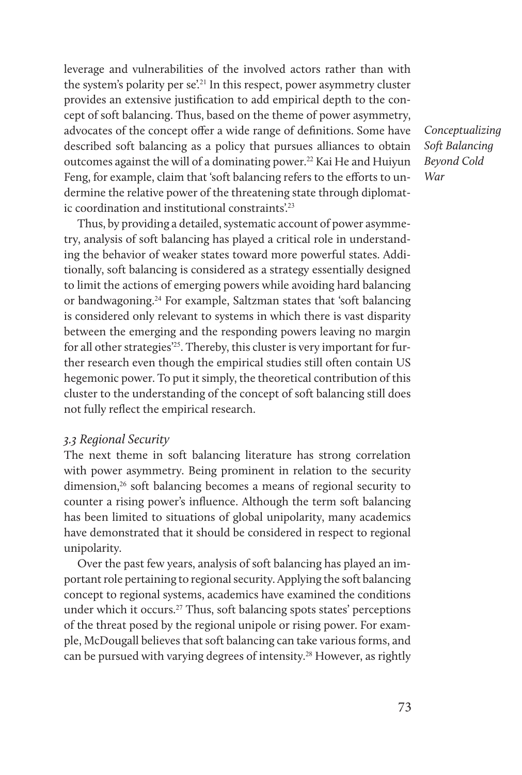leverage and vulnerabilities of the involved actors rather than with the system's polarity per se<sup>'21</sup> In this respect, power asymmetry cluster provides an extensive justification to add empirical depth to the concept of soft balancing. Thus, based on the theme of power asymmetry, advocates of the concept offer a wide range of definitions. Some have described soft balancing as a policy that pursues alliances to obtain outcomes against the will of a dominating power.<sup>22</sup> Kai He and Huiyun Feng, for example, claim that 'soft balancing refers to the efforts to undermine the relative power of the threatening state through diplomatic coordination and institutional constraints'.<sup>23</sup>

Thus, by providing a detailed, systematic account of power asymmetry, analysis of soft balancing has played a critical role in understanding the behavior of weaker states toward more powerful states. Additionally, soft balancing is considered as a strategy essentially designed to limit the actions of emerging powers while avoiding hard balancing or bandwagoning.24 For example, Saltzman states that 'soft balancing is considered only relevant to systems in which there is vast disparity between the emerging and the responding powers leaving no margin for all other strategies<sup>25</sup>. Thereby, this cluster is very important for further research even though the empirical studies still often contain US hegemonic power. To put it simply, the theoretical contribution of this cluster to the understanding of the concept of soft balancing still does not fully reflect the empirical research.

#### *3.3 Regional Security*

The next theme in soft balancing literature has strong correlation with power asymmetry. Being prominent in relation to the security dimension,<sup>26</sup> soft balancing becomes a means of regional security to counter a rising power's influence. Although the term soft balancing has been limited to situations of global unipolarity, many academics have demonstrated that it should be considered in respect to regional unipolarity.

Over the past few years, analysis of soft balancing has played an important role pertaining to regional security. Applying the soft balancing concept to regional systems, academics have examined the conditions under which it occurs.27 Thus, soft balancing spots states' perceptions of the threat posed by the regional unipole or rising power. For example, McDougall believes that soft balancing can take various forms, and can be pursued with varying degrees of intensity.<sup>28</sup> However, as rightly *Conceptualizing Soft Balancing Beyond Cold War*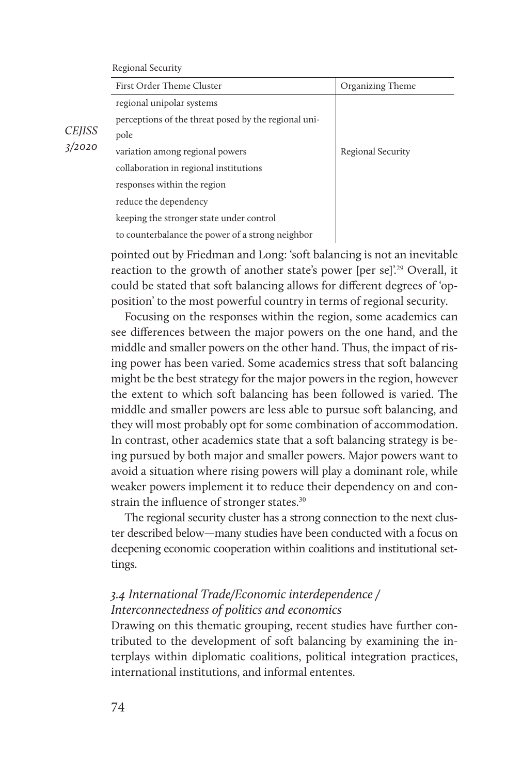#### Regional Security

|               | First Order Theme Cluster                            | Organizing Theme  |
|---------------|------------------------------------------------------|-------------------|
|               | regional unipolar systems                            |                   |
|               | perceptions of the threat posed by the regional uni- |                   |
| <i>CEJISS</i> | pole                                                 |                   |
| 3/2020        | variation among regional powers                      | Regional Security |
|               | collaboration in regional institutions               |                   |
|               | responses within the region                          |                   |
|               | reduce the dependency                                |                   |
|               | keeping the stronger state under control             |                   |
|               | to counterbalance the power of a strong neighbor     |                   |
|               |                                                      |                   |

pointed out by Friedman and Long: 'soft balancing is not an inevitable reaction to the growth of another state's power [per se]'.<sup>29</sup> Overall, it could be stated that soft balancing allows for different degrees of 'opposition' to the most powerful country in terms of regional security.

Focusing on the responses within the region, some academics can see differences between the major powers on the one hand, and the middle and smaller powers on the other hand. Thus, the impact of rising power has been varied. Some academics stress that soft balancing might be the best strategy for the major powers in the region, however the extent to which soft balancing has been followed is varied. The middle and smaller powers are less able to pursue soft balancing, and they will most probably opt for some combination of accommodation. In contrast, other academics state that a soft balancing strategy is being pursued by both major and smaller powers. Major powers want to avoid a situation where rising powers will play a dominant role, while weaker powers implement it to reduce their dependency on and constrain the influence of stronger states.<sup>30</sup>

The regional security cluster has a strong connection to the next cluster described below—many studies have been conducted with a focus on deepening economic cooperation within coalitions and institutional settings.

### *3.4 International Trade/Economic interdependence / Interconnectedness of politics and economics*

Drawing on this thematic grouping, recent studies have further contributed to the development of soft balancing by examining the interplays within diplomatic coalitions, political integration practices, international institutions, and informal ententes.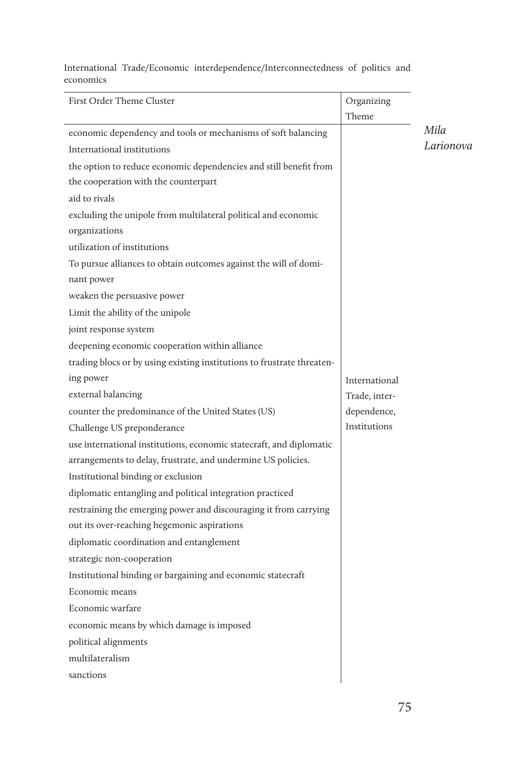International Trade/Economic interdependence/Interconnectedness of politics and economics

| First Order Theme Cluster                                              | Organizing<br>Theme |           |
|------------------------------------------------------------------------|---------------------|-----------|
| economic dependency and tools or mechanisms of soft balancing          |                     | Mila      |
| International institutions                                             |                     | Larionova |
| the option to reduce economic dependencies and still benefit from      |                     |           |
| the cooperation with the counterpart                                   |                     |           |
| aid to rivals                                                          |                     |           |
| excluding the unipole from multilateral political and economic         |                     |           |
| organizations                                                          |                     |           |
| utilization of institutions                                            |                     |           |
| To pursue alliances to obtain outcomes against the will of domi-       |                     |           |
| nant power                                                             |                     |           |
| weaken the persuasive power                                            |                     |           |
| Limit the ability of the unipole                                       |                     |           |
| joint response system                                                  |                     |           |
| deepening economic cooperation within alliance                         |                     |           |
| trading blocs or by using existing institutions to frustrate threaten- |                     |           |
| ing power                                                              | International       |           |
| external balancing                                                     | Trade, inter-       |           |
| counter the predominance of the United States (US)                     | dependence,         |           |
| Challenge US preponderance                                             | Institutions        |           |
| use international institutions, economic statecraft, and diplomatic    |                     |           |
| arrangements to delay, frustrate, and undermine US policies.           |                     |           |
| Institutional binding or exclusion                                     |                     |           |
| diplomatic entangling and political integration practiced              |                     |           |
| restraining the emerging power and discouraging it from carrying       |                     |           |
| out its over-reaching hegemonic aspirations                            |                     |           |
| diplomatic coordination and entanglement                               |                     |           |
| strategic non-cooperation                                              |                     |           |
| Institutional binding or bargaining and economic statecraft            |                     |           |
| Economic means                                                         |                     |           |
| Economic warfare                                                       |                     |           |
| economic means by which damage is imposed                              |                     |           |
| political alignments                                                   |                     |           |
| multilateralism                                                        |                     |           |
| sanctions                                                              |                     |           |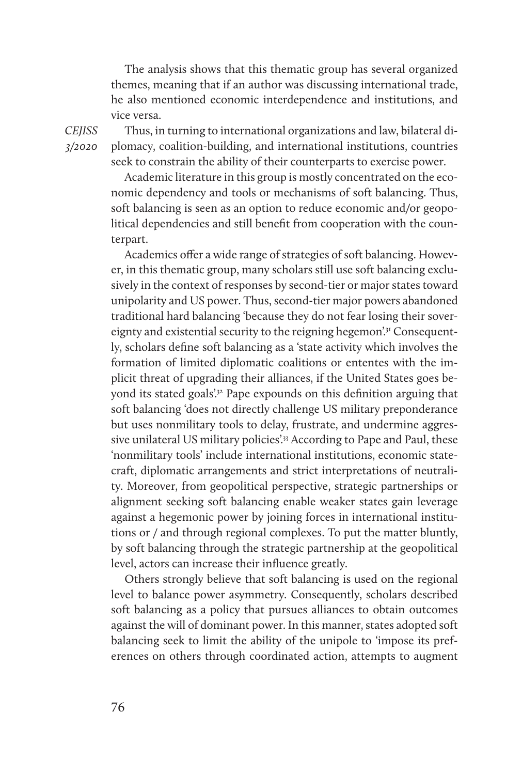The analysis shows that this thematic group has several organized themes, meaning that if an author was discussing international trade, he also mentioned economic interdependence and institutions, and vice versa.

*CEJISS 3/2020* 

Thus, in turning to international organizations and law, bilateral diplomacy, coalition-building, and international institutions, countries seek to constrain the ability of their counterparts to exercise power.

Academic literature in this group is mostly concentrated on the economic dependency and tools or mechanisms of soft balancing. Thus, soft balancing is seen as an option to reduce economic and/or geopolitical dependencies and still benefit from cooperation with the counterpart.

Academics offer a wide range of strategies of soft balancing. However, in this thematic group, many scholars still use soft balancing exclusively in the context of responses by second-tier or major states toward unipolarity and US power. Thus, second-tier major powers abandoned traditional hard balancing 'because they do not fear losing their sovereignty and existential security to the reigning hegemon<sup>'31</sup> Consequently, scholars define soft balancing as a 'state activity which involves the formation of limited diplomatic coalitions or ententes with the implicit threat of upgrading their alliances, if the United States goes beyond its stated goals'.<sup>32</sup> Pape expounds on this definition arguing that soft balancing 'does not directly challenge US military preponderance but uses nonmilitary tools to delay, frustrate, and undermine aggressive unilateral US military policies'.<sup>33</sup> According to Pape and Paul, these 'nonmilitary tools' include international institutions, economic statecraft, diplomatic arrangements and strict interpretations of neutrality. Moreover, from geopolitical perspective, strategic partnerships or alignment seeking soft balancing enable weaker states gain leverage against a hegemonic power by joining forces in international institutions or / and through regional complexes. To put the matter bluntly, by soft balancing through the strategic partnership at the geopolitical level, actors can increase their influence greatly.

Others strongly believe that soft balancing is used on the regional level to balance power asymmetry. Consequently, scholars described soft balancing as a policy that pursues alliances to obtain outcomes against the will of dominant power. In this manner, states adopted soft balancing seek to limit the ability of the unipole to 'impose its preferences on others through coordinated action, attempts to augment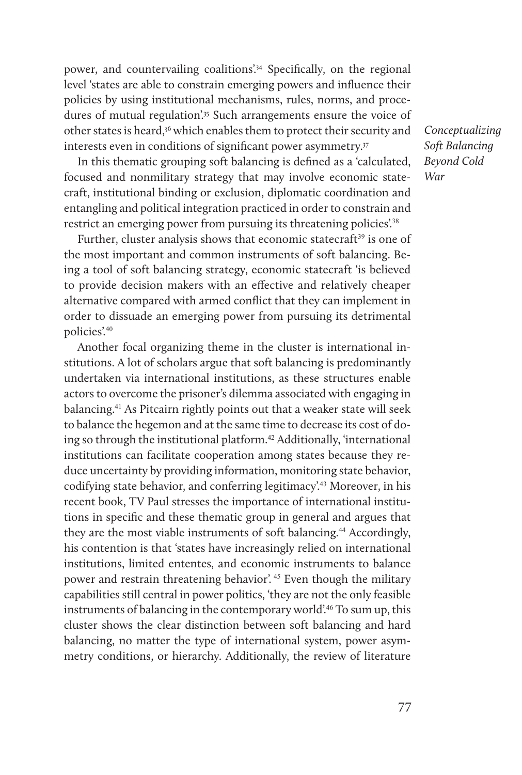power, and countervailing coalitions'.<sup>34</sup> Specifically, on the regional level 'states are able to constrain emerging powers and influence their policies by using institutional mechanisms, rules, norms, and procedures of mutual regulation'<sup>35</sup> Such arrangements ensure the voice of other states is heard,36 which enables them to protect their security and interests even in conditions of significant power asymmetry.<sup>37</sup>

In this thematic grouping soft balancing is defined as a 'calculated, focused and nonmilitary strategy that may involve economic statecraft, institutional binding or exclusion, diplomatic coordination and entangling and political integration practiced in order to constrain and restrict an emerging power from pursuing its threatening policies'.38

Further, cluster analysis shows that economic statecraft<sup>39</sup> is one of the most important and common instruments of soft balancing. Being a tool of soft balancing strategy, economic statecraft 'is believed to provide decision makers with an effective and relatively cheaper alternative compared with armed conflict that they can implement in order to dissuade an emerging power from pursuing its detrimental policies'.<sup>40</sup>

Another focal organizing theme in the cluster is international institutions. A lot of scholars argue that soft balancing is predominantly undertaken via international institutions, as these structures enable actors to overcome the prisoner's dilemma associated with engaging in balancing.41 As Pitcairn rightly points out that a weaker state will seek to balance the hegemon and at the same time to decrease its cost of doing so through the institutional platform.<sup>42</sup> Additionally, 'international institutions can facilitate cooperation among states because they reduce uncertainty by providing information, monitoring state behavior, codifying state behavior, and conferring legitimacy'.43 Moreover, in his recent book, TV Paul stresses the importance of international institutions in specific and these thematic group in general and argues that they are the most viable instruments of soft balancing.<sup>44</sup> Accordingly, his contention is that 'states have increasingly relied on international institutions, limited ententes, and economic instruments to balance power and restrain threatening behavior'. 45 Even though the military capabilities still central in power politics, 'they are not the only feasible instruments of balancing in the contemporary world'.46 To sum up, this cluster shows the clear distinction between soft balancing and hard balancing, no matter the type of international system, power asymmetry conditions, or hierarchy. Additionally, the review of literature *Conceptualizing Soft Balancing Beyond Cold War*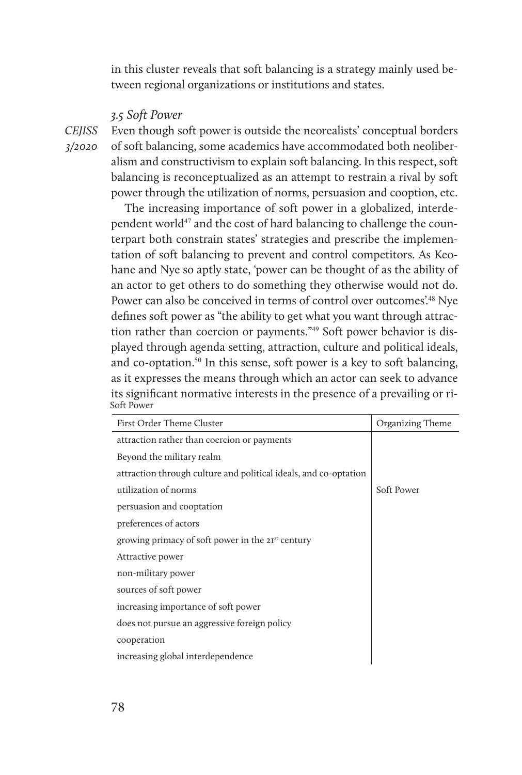in this cluster reveals that soft balancing is a strategy mainly used between regional organizations or institutions and states.

#### *3.5 Soft Power*

*CEJISS 3/2020* 

Even though soft power is outside the neorealists' conceptual borders of soft balancing, some academics have accommodated both neoliberalism and constructivism to explain soft balancing. In this respect, soft balancing is reconceptualized as an attempt to restrain a rival by soft power through the utilization of norms, persuasion and cooption, etc.

The increasing importance of soft power in a globalized, interdependent world<sup>47</sup> and the cost of hard balancing to challenge the counterpart both constrain states' strategies and prescribe the implementation of soft balancing to prevent and control competitors. As Keohane and Nye so aptly state, 'power can be thought of as the ability of an actor to get others to do something they otherwise would not do. Power can also be conceived in terms of control over outcomes'.<sup>48</sup> Nye defines soft power as "the ability to get what you want through attraction rather than coercion or payments."49 Soft power behavior is displayed through agenda setting, attraction, culture and political ideals, and co-optation.<sup>50</sup> In this sense, soft power is a key to soft balancing, as it expresses the means through which an actor can seek to advance its significant normative interests in the presence of a prevailing or ri-Soft Power

| First Order Theme Cluster                                        | Organizing Theme |
|------------------------------------------------------------------|------------------|
| attraction rather than coercion or payments                      |                  |
| Beyond the military realm                                        |                  |
| attraction through culture and political ideals, and co-optation |                  |
| utilization of norms                                             | Soft Power       |
| persuasion and cooptation                                        |                  |
| preferences of actors                                            |                  |
| growing primacy of soft power in the 21 <sup>st</sup> century    |                  |
| Attractive power                                                 |                  |
| non-military power                                               |                  |
| sources of soft power                                            |                  |
| increasing importance of soft power                              |                  |
| does not pursue an aggressive foreign policy                     |                  |
| cooperation                                                      |                  |
| increasing global interdependence                                |                  |
|                                                                  |                  |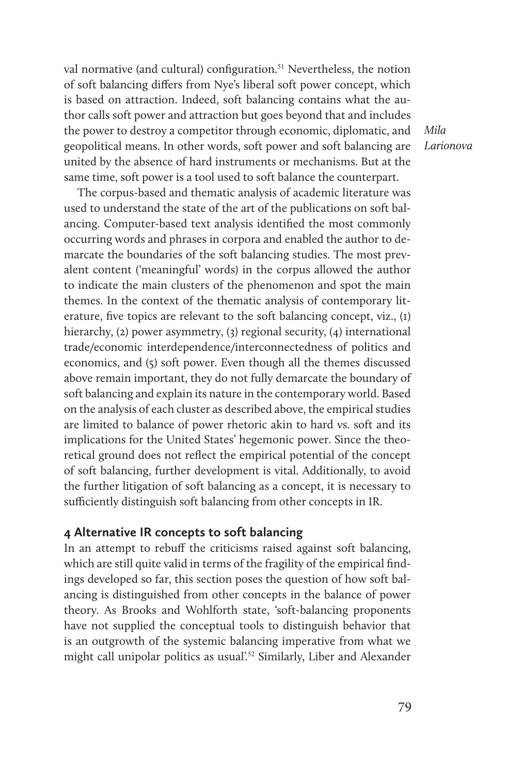val normative (and cultural) configuration.<sup>51</sup> Nevertheless, the notion of soft balancing differs from Nye's liberal soft power concept, which is based on attraction. Indeed, soft balancing contains what the author calls soft power and attraction but goes beyond that and includes the power to destroy a competitor through economic, diplomatic, and geopolitical means. In other words, soft power and soft balancing are united by the absence of hard instruments or mechanisms. But at the same time, soft power is a tool used to soft balance the counterpart.

*Mila Larionova*

The corpus-based and thematic analysis of academic literature was used to understand the state of the art of the publications on soft balancing. Computer-based text analysis identified the most commonly occurring words and phrases in corpora and enabled the author to demarcate the boundaries of the soft balancing studies. The most prevalent content ('meaningful' words) in the corpus allowed the author to indicate the main clusters of the phenomenon and spot the main themes. In the context of the thematic analysis of contemporary literature, five topics are relevant to the soft balancing concept, viz., (1) hierarchy, (2) power asymmetry, (3) regional security, (4) international trade/economic interdependence/interconnectedness of politics and economics, and (5) soft power. Even though all the themes discussed above remain important, they do not fully demarcate the boundary of soft balancing and explain its nature in the contemporary world. Based on the analysis of each cluster as described above, the empirical studies are limited to balance of power rhetoric akin to hard vs. soft and its implications for the United States' hegemonic power. Since the theoretical ground does not reflect the empirical potential of the concept of soft balancing, further development is vital. Additionally, to avoid the further litigation of soft balancing as a concept, it is necessary to sufficiently distinguish soft balancing from other concepts in IR.

#### **4 Alternative IR concepts to soft balancing**

In an attempt to rebuff the criticisms raised against soft balancing, which are still quite valid in terms of the fragility of the empirical findings developed so far, this section poses the question of how soft balancing is distinguished from other concepts in the balance of power theory. As Brooks and Wohlforth state, 'soft-balancing proponents have not supplied the conceptual tools to distinguish behavior that is an outgrowth of the systemic balancing imperative from what we might call unipolar politics as usual'.<sup>52</sup> Similarly, Liber and Alexander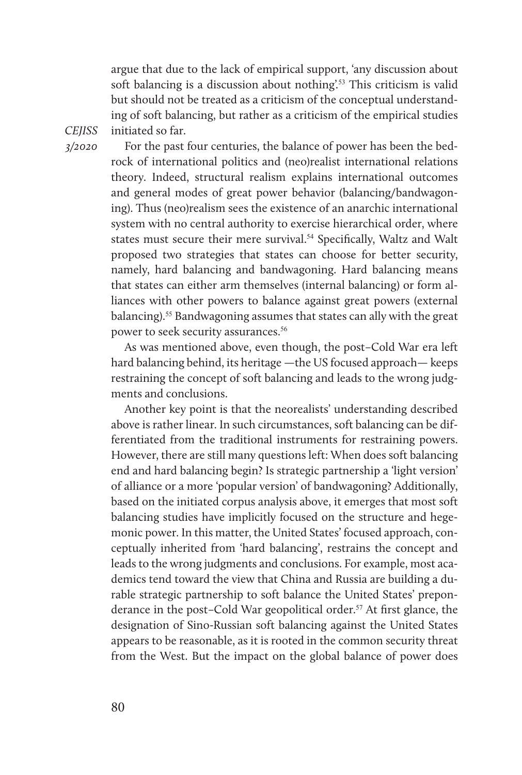argue that due to the lack of empirical support, 'any discussion about soft balancing is a discussion about nothing<sup>'53</sup> This criticism is valid but should not be treated as a criticism of the conceptual understanding of soft balancing, but rather as a criticism of the empirical studies initiated so far.

*CEJISS 3/2020* 

For the past four centuries, the balance of power has been the bedrock of international politics and (neo)realist international relations theory. Indeed, structural realism explains international outcomes and general modes of great power behavior (balancing/bandwagoning). Thus (neo)realism sees the existence of an anarchic international system with no central authority to exercise hierarchical order, where states must secure their mere survival.<sup>54</sup> Specifically, Waltz and Walt proposed two strategies that states can choose for better security, namely, hard balancing and bandwagoning. Hard balancing means that states can either arm themselves (internal balancing) or form alliances with other powers to balance against great powers (external balancing).55 Bandwagoning assumes that states can ally with the great power to seek security assurances.<sup>56</sup>

As was mentioned above, even though, the post–Cold War era left hard balancing behind, its heritage —the US focused approach— keeps restraining the concept of soft balancing and leads to the wrong judgments and conclusions.

Another key point is that the neorealists' understanding described above is rather linear. In such circumstances, soft balancing can be differentiated from the traditional instruments for restraining powers. However, there are still many questions left: When does soft balancing end and hard balancing begin? Is strategic partnership a 'light version' of alliance or a more 'popular version' of bandwagoning? Additionally, based on the initiated corpus analysis above, it emerges that most soft balancing studies have implicitly focused on the structure and hegemonic power. In this matter, the United States' focused approach, conceptually inherited from 'hard balancing', restrains the concept and leads to the wrong judgments and conclusions. For example, most academics tend toward the view that China and Russia are building a durable strategic partnership to soft balance the United States' preponderance in the post–Cold War geopolitical order.<sup>57</sup> At first glance, the designation of Sino-Russian soft balancing against the United States appears to be reasonable, as it is rooted in the common security threat from the West. But the impact on the global balance of power does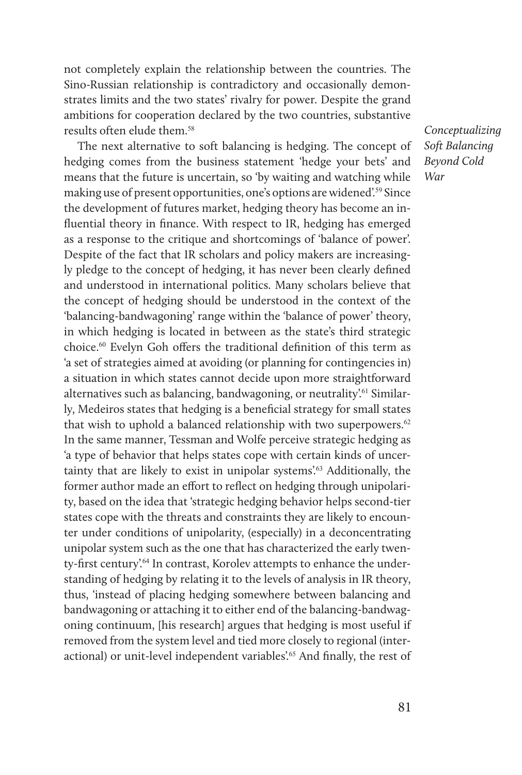not completely explain the relationship between the countries. The Sino-Russian relationship is contradictory and occasionally demonstrates limits and the two states' rivalry for power. Despite the grand ambitions for cooperation declared by the two countries, substantive results often elude them <sup>58</sup>

The next alternative to soft balancing is hedging. The concept of hedging comes from the business statement 'hedge your bets' and means that the future is uncertain, so 'by waiting and watching while making use of present opportunities, one's options are widened'.59 Since the development of futures market, hedging theory has become an influential theory in finance. With respect to IR, hedging has emerged as a response to the critique and shortcomings of 'balance of power'. Despite of the fact that IR scholars and policy makers are increasingly pledge to the concept of hedging, it has never been clearly defined and understood in international politics. Many scholars believe that the concept of hedging should be understood in the context of the 'balancing-bandwagoning' range within the 'balance of power' theory, in which hedging is located in between as the state's third strategic choice.60 Evelyn Goh offers the traditional definition of this term as 'a set of strategies aimed at avoiding (or planning for contingencies in) a situation in which states cannot decide upon more straightforward alternatives such as balancing, bandwagoning, or neutrality'.<sup>61</sup> Similarly, Medeiros states that hedging is a beneficial strategy for small states that wish to uphold a balanced relationship with two superpowers.<sup>62</sup> In the same manner, Tessman and Wolfe perceive strategic hedging as 'a type of behavior that helps states cope with certain kinds of uncertainty that are likely to exist in unipolar systems'.<sup>63</sup> Additionally, the former author made an effort to reflect on hedging through unipolarity, based on the idea that 'strategic hedging behavior helps second-tier states cope with the threats and constraints they are likely to encounter under conditions of unipolarity, (especially) in a deconcentrating unipolar system such as the one that has characterized the early twenty-first century'.<sup>64</sup> In contrast, Korolev attempts to enhance the understanding of hedging by relating it to the levels of analysis in IR theory, thus, 'instead of placing hedging somewhere between balancing and bandwagoning or attaching it to either end of the balancing-bandwagoning continuum, [his research] argues that hedging is most useful if removed from the system level and tied more closely to regional (interactional) or unit-level independent variables'.<sup>65</sup> And finally, the rest of

*Conceptualizing Soft Balancing Beyond Cold War*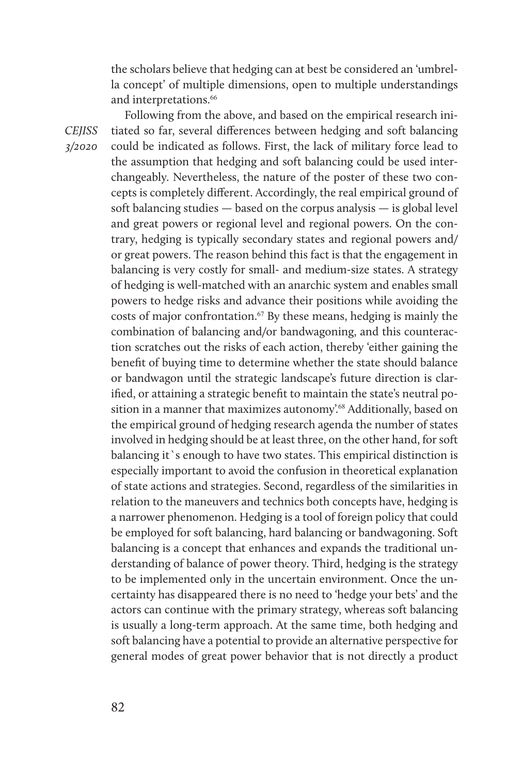the scholars believe that hedging can at best be considered an 'umbrella concept' of multiple dimensions, open to multiple understandings and interpretations.<sup>66</sup>

Following from the above, and based on the empirical research initiated so far, several differences between hedging and soft balancing could be indicated as follows. First, the lack of military force lead to the assumption that hedging and soft balancing could be used interchangeably. Nevertheless, the nature of the poster of these two concepts is completely different. Accordingly, the real empirical ground of soft balancing studies — based on the corpus analysis — is global level and great powers or regional level and regional powers. On the contrary, hedging is typically secondary states and regional powers and/ or great powers. The reason behind this fact is that the engagement in balancing is very costly for small- and medium-size states. A strategy of hedging is well-matched with an anarchic system and enables small powers to hedge risks and advance their positions while avoiding the costs of major confrontation.67 By these means, hedging is mainly the combination of balancing and/or bandwagoning, and this counteraction scratches out the risks of each action, thereby 'either gaining the benefit of buying time to determine whether the state should balance or bandwagon until the strategic landscape's future direction is clarified, or attaining a strategic benefit to maintain the state's neutral position in a manner that maximizes autonomy'.<sup>68</sup> Additionally, based on the empirical ground of hedging research agenda the number of states involved in hedging should be at least three, on the other hand, for soft balancing it`s enough to have two states. This empirical distinction is especially important to avoid the confusion in theoretical explanation of state actions and strategies. Second, regardless of the similarities in relation to the maneuvers and technics both concepts have, hedging is a narrower phenomenon. Hedging is a tool of foreign policy that could be employed for soft balancing, hard balancing or bandwagoning. Soft balancing is a concept that enhances and expands the traditional understanding of balance of power theory. Third, hedging is the strategy to be implemented only in the uncertain environment. Once the uncertainty has disappeared there is no need to 'hedge your bets' and the actors can continue with the primary strategy, whereas soft balancing is usually a long-term approach. At the same time, both hedging and soft balancing have a potential to provide an alternative perspective for general modes of great power behavior that is not directly a product

*CEJISS 3/2020*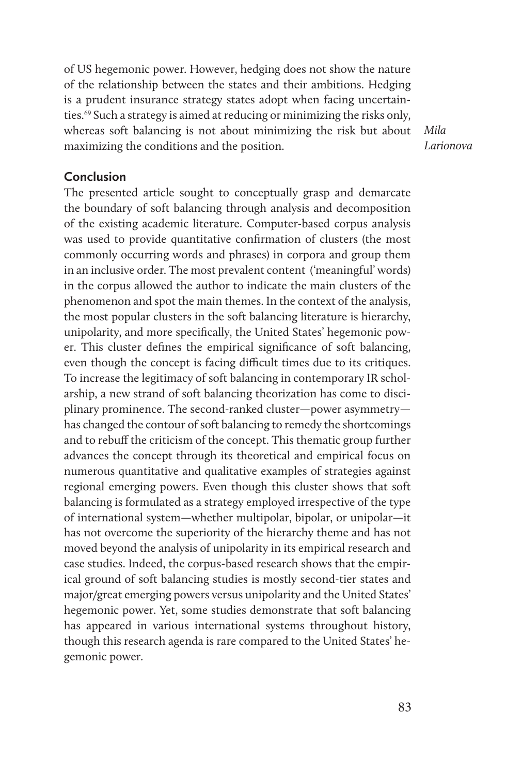of US hegemonic power. However, hedging does not show the nature of the relationship between the states and their ambitions. Hedging is a prudent insurance strategy states adopt when facing uncertainties.69 Such a strategy is aimed at reducing or minimizing the risks only, whereas soft balancing is not about minimizing the risk but about maximizing the conditions and the position.

*Mila Larionova*

#### **Conclusion**

The presented article sought to conceptually grasp and demarcate the boundary of soft balancing through analysis and decomposition of the existing academic literature. Computer-based corpus analysis was used to provide quantitative confirmation of clusters (the most commonly occurring words and phrases) in corpora and group them in an inclusive order. The most prevalent content ('meaningful' words) in the corpus allowed the author to indicate the main clusters of the phenomenon and spot the main themes. In the context of the analysis, the most popular clusters in the soft balancing literature is hierarchy, unipolarity, and more specifically, the United States' hegemonic power. This cluster defines the empirical significance of soft balancing, even though the concept is facing difficult times due to its critiques. To increase the legitimacy of soft balancing in contemporary IR scholarship, a new strand of soft balancing theorization has come to disciplinary prominence. The second-ranked cluster—power asymmetry has changed the contour of soft balancing to remedy the shortcomings and to rebuff the criticism of the concept. This thematic group further advances the concept through its theoretical and empirical focus on numerous quantitative and qualitative examples of strategies against regional emerging powers. Even though this cluster shows that soft balancing is formulated as a strategy employed irrespective of the type of international system—whether multipolar, bipolar, or unipolar—it has not overcome the superiority of the hierarchy theme and has not moved beyond the analysis of unipolarity in its empirical research and case studies. Indeed, the corpus-based research shows that the empirical ground of soft balancing studies is mostly second-tier states and major/great emerging powers versus unipolarity and the United States' hegemonic power. Yet, some studies demonstrate that soft balancing has appeared in various international systems throughout history, though this research agenda is rare compared to the United States' hegemonic power.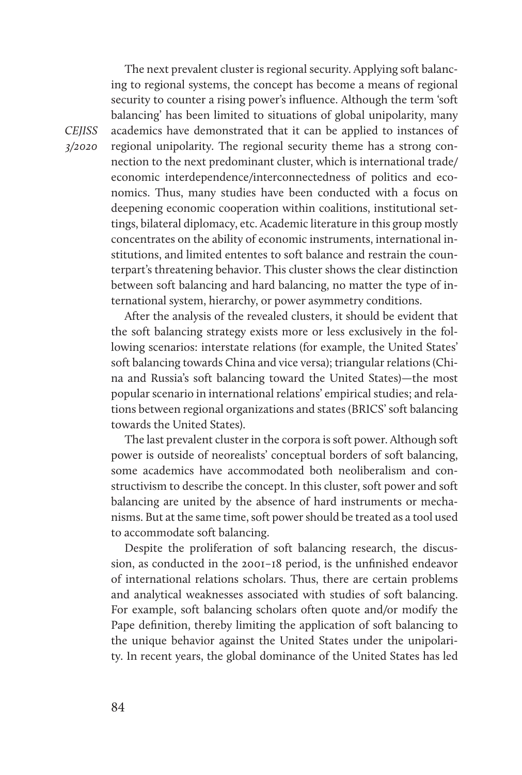The next prevalent cluster is regional security. Applying soft balancing to regional systems, the concept has become a means of regional security to counter a rising power's influence. Although the term 'soft balancing' has been limited to situations of global unipolarity, many academics have demonstrated that it can be applied to instances of regional unipolarity. The regional security theme has a strong connection to the next predominant cluster, which is international trade/ economic interdependence/interconnectedness of politics and economics. Thus, many studies have been conducted with a focus on deepening economic cooperation within coalitions, institutional settings, bilateral diplomacy, etc. Academic literature in this group mostly concentrates on the ability of economic instruments, international institutions, and limited ententes to soft balance and restrain the counterpart's threatening behavior. This cluster shows the clear distinction between soft balancing and hard balancing, no matter the type of international system, hierarchy, or power asymmetry conditions.

After the analysis of the revealed clusters, it should be evident that the soft balancing strategy exists more or less exclusively in the following scenarios: interstate relations (for example, the United States' soft balancing towards China and vice versa); triangular relations (China and Russia's soft balancing toward the United States)—the most popular scenario in international relations' empirical studies; and relations between regional organizations and states (BRICS' soft balancing towards the United States).

The last prevalent cluster in the corpora is soft power. Although soft power is outside of neorealists' conceptual borders of soft balancing, some academics have accommodated both neoliberalism and constructivism to describe the concept. In this cluster, soft power and soft balancing are united by the absence of hard instruments or mechanisms. But at the same time, soft power should be treated as a tool used to accommodate soft balancing.

Despite the proliferation of soft balancing research, the discussion, as conducted in the 2001–18 period, is the unfinished endeavor of international relations scholars. Thus, there are certain problems and analytical weaknesses associated with studies of soft balancing. For example, soft balancing scholars often quote and/or modify the Pape definition, thereby limiting the application of soft balancing to the unique behavior against the United States under the unipolarity. In recent years, the global dominance of the United States has led

#### *CEJISS 3/2020*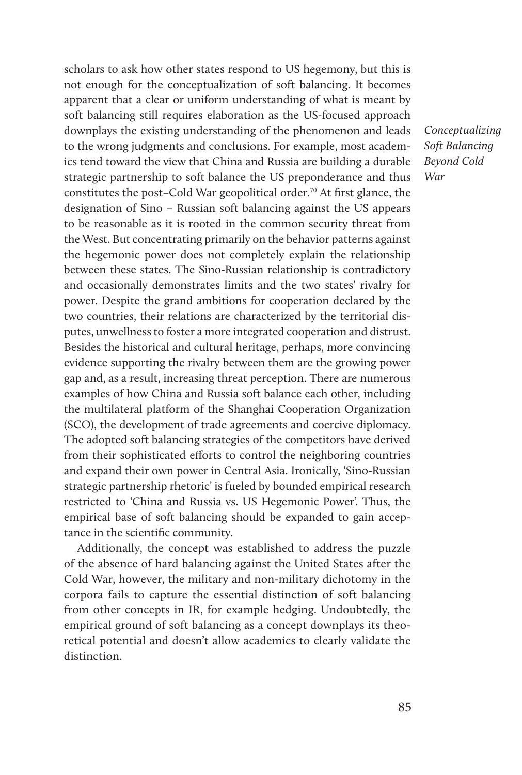scholars to ask how other states respond to US hegemony, but this is not enough for the conceptualization of soft balancing. It becomes apparent that a clear or uniform understanding of what is meant by soft balancing still requires elaboration as the US-focused approach downplays the existing understanding of the phenomenon and leads to the wrong judgments and conclusions. For example, most academics tend toward the view that China and Russia are building a durable strategic partnership to soft balance the US preponderance and thus constitutes the post–Cold War geopolitical order.<sup>70</sup> At first glance, the designation of Sino – Russian soft balancing against the US appears to be reasonable as it is rooted in the common security threat from the West. But concentrating primarily on the behavior patterns against the hegemonic power does not completely explain the relationship between these states. The Sino-Russian relationship is contradictory and occasionally demonstrates limits and the two states' rivalry for power. Despite the grand ambitions for cooperation declared by the two countries, their relations are characterized by the territorial disputes, unwellness to foster a more integrated cooperation and distrust. Besides the historical and cultural heritage, perhaps, more convincing evidence supporting the rivalry between them are the growing power gap and, as a result, increasing threat perception. There are numerous examples of how China and Russia soft balance each other, including the multilateral platform of the Shanghai Cooperation Organization (SCO), the development of trade agreements and coercive diplomacy. The adopted soft balancing strategies of the competitors have derived from their sophisticated efforts to control the neighboring countries and expand their own power in Central Asia. Ironically, 'Sino-Russian strategic partnership rhetoric' is fueled by bounded empirical research restricted to 'China and Russia vs. US Hegemonic Power'. Thus, the empirical base of soft balancing should be expanded to gain acceptance in the scientific community.

Additionally, the concept was established to address the puzzle of the absence of hard balancing against the United States after the Cold War, however, the military and non-military dichotomy in the corpora fails to capture the essential distinction of soft balancing from other concepts in IR, for example hedging. Undoubtedly, the empirical ground of soft balancing as a concept downplays its theoretical potential and doesn't allow academics to clearly validate the distinction.

*Conceptualizing Soft Balancing Beyond Cold War*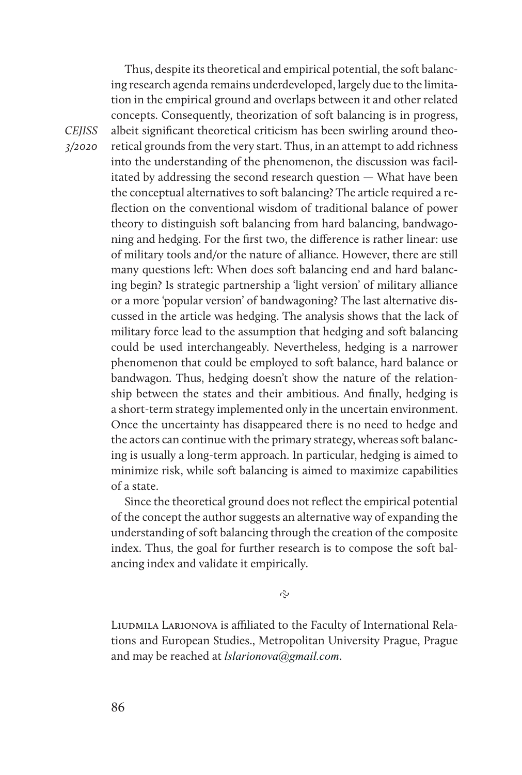Thus, despite its theoretical and empirical potential, the soft balancing research agenda remains underdeveloped, largely due to the limitation in the empirical ground and overlaps between it and other related concepts. Consequently, theorization of soft balancing is in progress, albeit significant theoretical criticism has been swirling around theoretical grounds from the very start. Thus, in an attempt to add richness into the understanding of the phenomenon, the discussion was facilitated by addressing the second research question — What have been the conceptual alternatives to soft balancing? The article required a reflection on the conventional wisdom of traditional balance of power theory to distinguish soft balancing from hard balancing, bandwagoning and hedging. For the first two, the difference is rather linear: use of military tools and/or the nature of alliance. However, there are still many questions left: When does soft balancing end and hard balancing begin? Is strategic partnership a 'light version' of military alliance or a more 'popular version' of bandwagoning? The last alternative discussed in the article was hedging. The analysis shows that the lack of military force lead to the assumption that hedging and soft balancing could be used interchangeably. Nevertheless, hedging is a narrower phenomenon that could be employed to soft balance, hard balance or bandwagon. Thus, hedging doesn't show the nature of the relationship between the states and their ambitious. And finally, hedging is a short-term strategy implemented only in the uncertain environment. Once the uncertainty has disappeared there is no need to hedge and the actors can continue with the primary strategy, whereas soft balancing is usually a long-term approach. In particular, hedging is aimed to minimize risk, while soft balancing is aimed to maximize capabilities of a state.

Since the theoretical ground does not reflect the empirical potential of the concept the author suggests an alternative way of expanding the understanding of soft balancing through the creation of the composite index. Thus, the goal for further research is to compose the soft balancing index and validate it empirically.

Ş

LIUDMILA LARIONOVA is affiliated to the Faculty of International Relations and European Studies., Metropolitan University Prague, Prague and may be reached at *lslarionova@gmail.com*.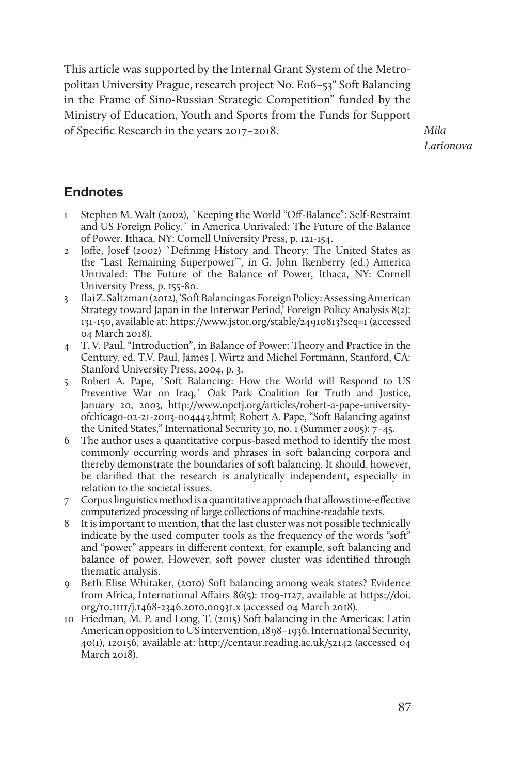This article was supported by the Internal Grant System of the Metropolitan University Prague, research project No. E06–53" Soft Balancing in the Frame of Sino-Russian Strategic Competition" funded by the Ministry of Education, Youth and Sports from the Funds for Support of Specific Research in the years 2017–2018.

*Mila Larionova*

# **Endnotes**

- 1 Stephen M. Walt (2002), `Keeping the World "Off-Balance": Self-Restraint and US Foreign Policy.` in America Unrivaled: The Future of the Balance of Power. Ithaca, NY: Cornell University Press, p. 121-154.
- 2 Joffe, Josef (2002) `Defining History and Theory: The United States as the "Last Remaining Superpower"', in G. John Ikenberry (ed.) America Unrivaled: The Future of the Balance of Power, Ithaca, NY: Cornell University Press, p. 155-80.
- 3 Ilai Z. Saltzman (2012), 'Soft Balancing as Foreign Policy: Assessing American Strategy toward Japan in the Interwar Period,' Foreign Policy Analysis 8(2): 131-150, available at: https://www.jstor.org/stable/24910813?seq=1 (accessed 04 March 2018).
- 4 T. V. Paul, "Introduction", in Balance of Power: Theory and Practice in the Century, ed. T.V. Paul, James J. Wirtz and Michel Fortmann, Stanford, CA: Stanford University Press, 2004, p. 3.
- 5 Robert A. Pape, `Soft Balancing: How the World will Respond to US Preventive War on Iraq,` Oak Park Coalition for Truth and Justice, January 20, 2003, http://www.opctj.org/articles/robert-a-pape-universityofchicago-02-21-2003-004443.html; Robert A. Pape, "Soft Balancing against the United States," International Security 30, no. 1 (Summer 2005): 7–45.
- 6 The author uses a quantitative corpus-based method to identify the most commonly occurring words and phrases in soft balancing corpora and thereby demonstrate the boundaries of soft balancing. It should, however, be clarified that the research is analytically independent, especially in relation to the societal issues.
- 7 Corpus linguistics method is a quantitative approach that allows time-effective computerized processing of large collections of machine-readable texts.
- 8 It is important to mention, that the last cluster was not possible technically indicate by the used computer tools as the frequency of the words "soft" and "power" appears in different context, for example, soft balancing and balance of power. However, soft power cluster was identified through thematic analysis.
- 9 Beth Elise Whitaker, (2010) Soft balancing among weak states? Evidence from Africa, International Affairs 86(5): 1109-1127, available at https://doi. org/10.1111/j.1468-2346.2010.00931.x (accessed 04 March 2018).
- 10 Friedman, M. P. and Long, T. (2015) Soft balancing in the Americas: Latin American opposition to US intervention, 1898–1936. International Security, 40(1), 120156, available at: http://centaur.reading.ac.uk/52142 (accessed 04 March 2018).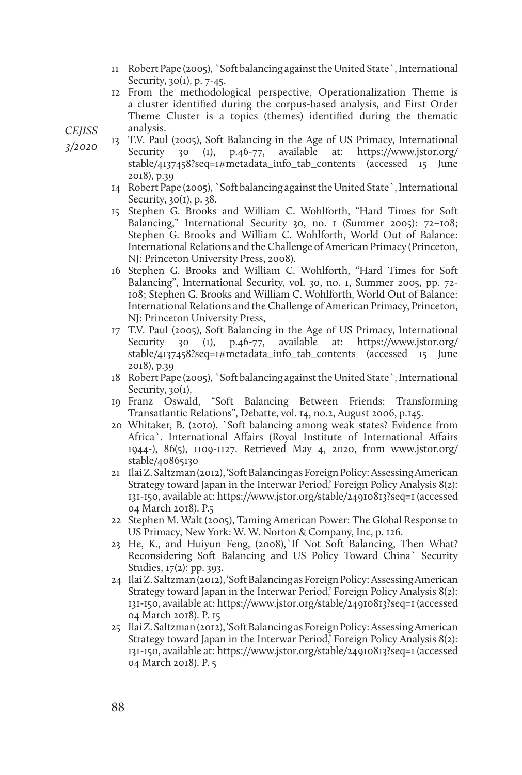- 11 Robert Pape (2005), `Soft balancing against the United State`, International Security, 30(1), p. 7-45.
- 12 From the methodological perspective, Operationalization Theme is a cluster identified during the corpus-based analysis, and First Order Theme Cluster is a topics (themes) identified during the thematic analysis.

*CEJISS* 

*3/2020* 

- 13 T.V. Paul (2005), Soft Balancing in the Age of US Primacy, International Security 30 (1), p.46-77, available at: https://www.jstor.org/ stable/4137458?seq=1#metadata\_info\_tab\_contents (accessed 15 June 2018), p.39
	- 14 Robert Pape (2005), `Soft balancing against the United State`, International Security,  $30(1)$ , p.  $38$ .
	- 15 Stephen G. Brooks and William C. Wohlforth, "Hard Times for Soft Balancing," International Security 30, no. 1 (Summer 2005): 72-108; Stephen G. Brooks and William C. Wohlforth, World Out of Balance: International Relations and the Challenge of American Primacy (Princeton, NJ: Princeton University Press, 2008).
	- 16 Stephen G. Brooks and William C. Wohlforth, "Hard Times for Soft Balancing", International Security, vol. 30, no. 1, Summer 2005, pp. 72- 108; Stephen G. Brooks and William C. Wohlforth, World Out of Balance: International Relations and the Challenge of American Primacy, Princeton, NJ: Princeton University Press,
	- 17 T.V. Paul (2005), Soft Balancing in the Age of US Primacy, International Security 30 (1), p.46-77, available at: https://www.jstor.org/ stable/4137458?seq=1#metadata\_info\_tab\_contents (accessed 15 June 2018), p.39
	- 18 Robert Pape (2005), `Soft balancing against the United State`, International Security, 30(1),
	- 19 Franz Oswald, "Soft Balancing Between Friends: Transforming Transatlantic Relations", Debatte, vol. 14, no.2, August 2006, p.145.
	- 20 Whitaker, B. (2010). `Soft balancing among weak states? Evidence from Africa`. International Affairs (Royal Institute of International Affairs 1944-), 86(5), 1109-1127. Retrieved May 4, 2020, from www.jstor.org/ stable/40865130
	- 21 Ilai Z. Saltzman (2012), 'Soft Balancing as Foreign Policy: Assessing American Strategy toward Japan in the Interwar Period,' Foreign Policy Analysis 8(2): 131-150, available at: https://www.jstor.org/stable/24910813?seq=1 (accessed 04 March 2018). P.5
	- 22 Stephen M. Walt (2005), Taming American Power: The Global Response to US Primacy, New York: W. W. Norton & Company, Inc, p. 126.
	- 23 He, K., and Huiyun Feng, (2008),`If Not Soft Balancing, Then What? Reconsidering Soft Balancing and US Policy Toward China` Security Studies, 17(2): pp. 393.
	- 24 Ilai Z. Saltzman (2012), 'Soft Balancing as Foreign Policy: Assessing American Strategy toward Japan in the Interwar Period,' Foreign Policy Analysis 8(2): 131-150, available at: https://www.jstor.org/stable/24910813?seq=1 (accessed 04 March 2018). P. 15
	- 25 Ilai Z. Saltzman (2012), 'Soft Balancing as Foreign Policy: Assessing American Strategy toward Japan in the Interwar Period,' Foreign Policy Analysis 8(2): 131-150, available at: https://www.jstor.org/stable/24910813?seq=1 (accessed 04 March 2018). P. 5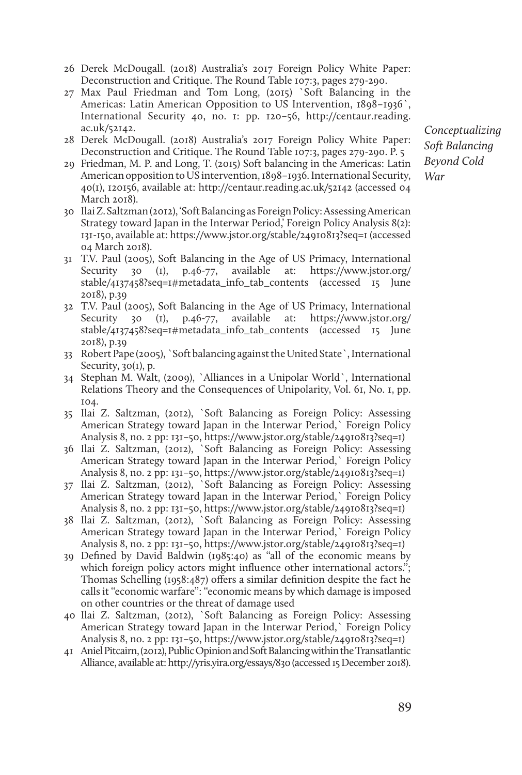- 26 Derek McDougall. (2018) Australia's 2017 Foreign Policy White Paper: Deconstruction and Critique. The Round Table 107:3, pages 279-290.
- 27 Max Paul Friedman and Tom Long, (2015) `Soft Balancing in the Americas: Latin American Opposition to US Intervention, 1898–1936`, International Security 40, no. 1: pp. 120–56, http://centaur.reading. ac.uk/52142.
- 28 Derek McDougall. (2018) Australia's 2017 Foreign Policy White Paper: Deconstruction and Critique. The Round Table 107:3, pages 279-290. P. 5
- 29 Friedman, M. P. and Long, T. (2015) Soft balancing in the Americas: Latin American opposition to US intervention, 1898–1936. International Security, 40(1), 120156, available at: http://centaur.reading.ac.uk/52142 (accessed 04 March 2018).
- 30 Ilai Z. Saltzman (2012), 'Soft Balancing as Foreign Policy: Assessing American Strategy toward Japan in the Interwar Period,' Foreign Policy Analysis 8(2): 131-150, available at: https://www.jstor.org/stable/24910813?seq=1 (accessed 04 March 2018).
- 31 T.V. Paul (2005), Soft Balancing in the Age of US Primacy, International Security 30 (1), p.46-77, available at: https://www.jstor.org/ stable/4137458?seq=1#metadata\_info\_tab\_contents (accessed 15 June 2018), p.39
- 32 T.V. Paul (2005), Soft Balancing in the Age of US Primacy, International Security 30 (I), p.46-77, available at: https://www.jstor.org/ stable/4137458?seq=1#metadata\_info\_tab\_contents (accessed 15 June 2018), p.39
- 33 Robert Pape (2005), `Soft balancing against the United State`, International Security, 30(1), p.
- 34 Stephan M. Walt, (2009), `Alliances in a Unipolar World`, International Relations Theory and the Consequences of Unipolarity, Vol. 61, No. 1, pp. 104.
- 35 Ilai Z. Saltzman, (2012), `Soft Balancing as Foreign Policy: Assessing American Strategy toward Japan in the Interwar Period,` Foreign Policy Analysis 8, no. 2 pp: 131–50, https://www.jstor.org/stable/24910813?seq=1)
- 36 Ilai Z. Saltzman, (2012), `Soft Balancing as Foreign Policy: Assessing American Strategy toward Japan in the Interwar Period,` Foreign Policy Analysis 8, no. 2 pp: 131–50, https://www.jstor.org/stable/24910813?seq=1)
- 37 Ilai Z. Saltzman, (2012), `Soft Balancing as Foreign Policy: Assessing American Strategy toward Japan in the Interwar Period,` Foreign Policy Analysis 8, no. 2 pp: 131–50, https://www.jstor.org/stable/24910813?seq=1)
- 38 Ilai Z. Saltzman, (2012), `Soft Balancing as Foreign Policy: Assessing American Strategy toward Japan in the Interwar Period,` Foreign Policy Analysis 8, no. 2 pp: 131–50, https://www.jstor.org/stable/24910813?seq=1)
- 39 Defined by David Baldwin (1985:40) as ''all of the economic means by which foreign policy actors might influence other international actors."; Thomas Schelling (1958:487) offers a similar definition despite the fact he calls it ''economic warfare'': ''economic means by which damage is imposed on other countries or the threat of damage used
- 40 Ilai Z. Saltzman, (2012), `Soft Balancing as Foreign Policy: Assessing American Strategy toward Japan in the Interwar Period,` Foreign Policy Analysis 8, no. 2 pp: 131–50, https://www.jstor.org/stable/24910813?seq=1)
- 41 Aniel Pitcairn, (2012), Public Opinion and Soft Balancing within the Transatlantic Alliance, available at: http://yris.yira.org/essays/830 (accessed 15 December 2018).

*Conceptualizing Soft Balancing Beyond Cold War*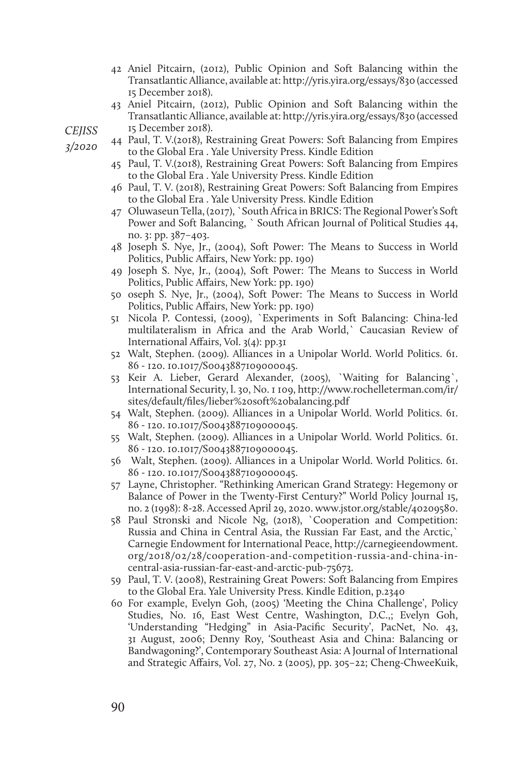- 42 Aniel Pitcairn, (2012), Public Opinion and Soft Balancing within the Transatlantic Alliance, available at: http://yris.yira.org/essays/830 (accessed 15 December 2018).
- 43 Aniel Pitcairn, (2012), Public Opinion and Soft Balancing within the Transatlantic Alliance, available at: http://yris.yira.org/essays/830 (accessed 15 December 2018).

*CEJISS* 

*3/2020* 

- 44 Paul, T. V.(2018), Restraining Great Powers: Soft Balancing from Empires to the Global Era . Yale University Press. Kindle Edition
- 45 Paul, T. V.(2018), Restraining Great Powers: Soft Balancing from Empires to the Global Era . Yale University Press. Kindle Edition
- 46 Paul, T. V. (2018), Restraining Great Powers: Soft Balancing from Empires to the Global Era . Yale University Press. Kindle Edition
- 47 Oluwaseun Tella, (2017), `South Africa in BRICS: The Regional Power's Soft Power and Soft Balancing, ` South African Journal of Political Studies 44, no. 3: pp. 387–403.
- 48 Joseph S. Nye, Jr., (2004), Soft Power: The Means to Success in World Politics, Public Affairs, New York: pp. 190)
- 49 Joseph S. Nye, Jr., (2004), Soft Power: The Means to Success in World Politics, Public Affairs, New York: pp. 190)
- 50 oseph S. Nye, Jr., (2004), Soft Power: The Means to Success in World Politics, Public Affairs, New York: pp. 190)
- 51 Nicola P. Contessi, (2009), `Experiments in Soft Balancing: China-led multilateralism in Africa and the Arab World,` Caucasian Review of International Affairs, Vol. 3(4): pp.31
- 52 Walt, Stephen. (2009). Alliances in a Unipolar World. World Politics. 61. 86 - 120. 10.1017/S0043887109000045.
- 53 Keir A. Lieber, Gerard Alexander, (2005), `Waiting for Balancing`, International Security, l. 30, No. 1 109, http://www.rochelleterman.com/ir/ sites/default/files/lieber%20soft%20balancing.pdf
- 54 Walt, Stephen. (2009). Alliances in a Unipolar World. World Politics. 61. 86 - 120. 10.1017/S0043887109000045.
- 55 Walt, Stephen. (2009). Alliances in a Unipolar World. World Politics. 61. 86 - 120. 10.1017/S0043887109000045.
- 56 Walt, Stephen. (2009). Alliances in a Unipolar World. World Politics. 61. 86 - 120. 10.1017/S0043887109000045.
- 57 Layne, Christopher. "Rethinking American Grand Strategy: Hegemony or Balance of Power in the Twenty-First Century?" World Policy Journal 15, no. 2 (1998): 8-28. Accessed April 29, 2020. www.jstor.org/stable/40209580.
- 58 Paul Stronski and Nicole Ng, (2018), `Cooperation and Competition: Russia and China in Central Asia, the Russian Far East, and the Arctic,` Carnegie Endowment for International Peace, http://carnegieendowment. org/2018/02/28/cooperation-and-competition-russia-and-china-incentral-asia-russian-far-east-and-arctic-pub-75673.
- 59 Paul, T. V. (2008), Restraining Great Powers: Soft Balancing from Empires to the Global Era. Yale University Press. Kindle Edition, p.2340
- 60 For example, Evelyn Goh, (2005) 'Meeting the China Challenge', Policy Studies, No. 16, East West Centre, Washington, D.C.,; Evelyn Goh, 'Understanding "Hedging" in Asia-Pacific Security', PacNet, No. 43, 31 August, 2006; Denny Roy, 'Southeast Asia and China: Balancing or Bandwagoning?', Contemporary Southeast Asia: A Journal of International and Strategic Affairs, Vol. 27, No. 2 (2005), pp. 305–22; Cheng-ChweeKuik,